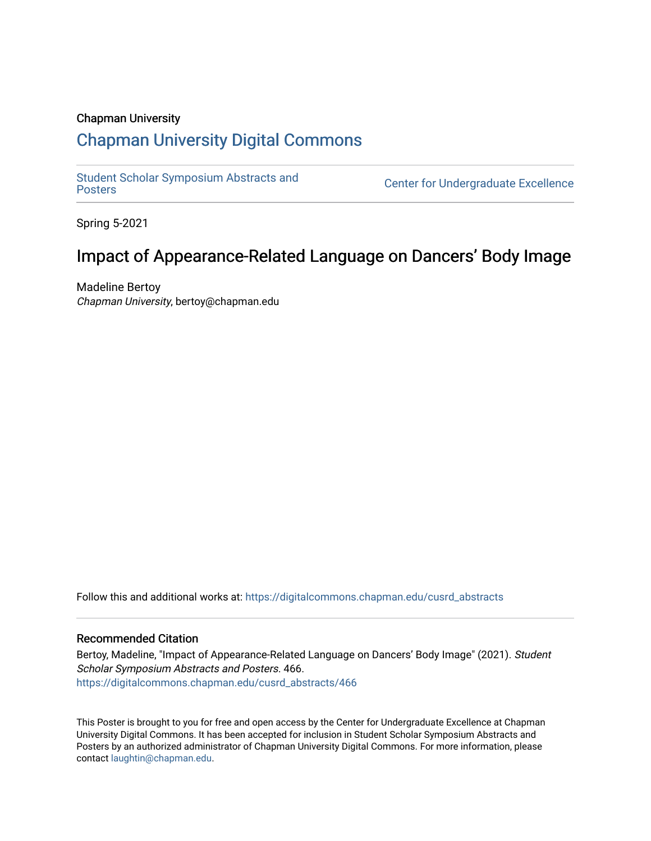### Chapman University

### [Chapman University Digital Commons](https://digitalcommons.chapman.edu/)

[Student Scholar Symposium Abstracts and](https://digitalcommons.chapman.edu/cusrd_abstracts) 

**Center for Undergraduate Excellence** 

Spring 5-2021

### Impact of Appearance-Related Language on Dancers' Body Image

Madeline Bertoy Chapman University, bertoy@chapman.edu

Follow this and additional works at: [https://digitalcommons.chapman.edu/cusrd\\_abstracts](https://digitalcommons.chapman.edu/cusrd_abstracts?utm_source=digitalcommons.chapman.edu%2Fcusrd_abstracts%2F466&utm_medium=PDF&utm_campaign=PDFCoverPages) 

### Recommended Citation

Bertoy, Madeline, "Impact of Appearance-Related Language on Dancers' Body Image" (2021). Student Scholar Symposium Abstracts and Posters. 466. [https://digitalcommons.chapman.edu/cusrd\\_abstracts/466](https://digitalcommons.chapman.edu/cusrd_abstracts/466?utm_source=digitalcommons.chapman.edu%2Fcusrd_abstracts%2F466&utm_medium=PDF&utm_campaign=PDFCoverPages) 

This Poster is brought to you for free and open access by the Center for Undergraduate Excellence at Chapman University Digital Commons. It has been accepted for inclusion in Student Scholar Symposium Abstracts and Posters by an authorized administrator of Chapman University Digital Commons. For more information, please contact [laughtin@chapman.edu](mailto:laughtin@chapman.edu).